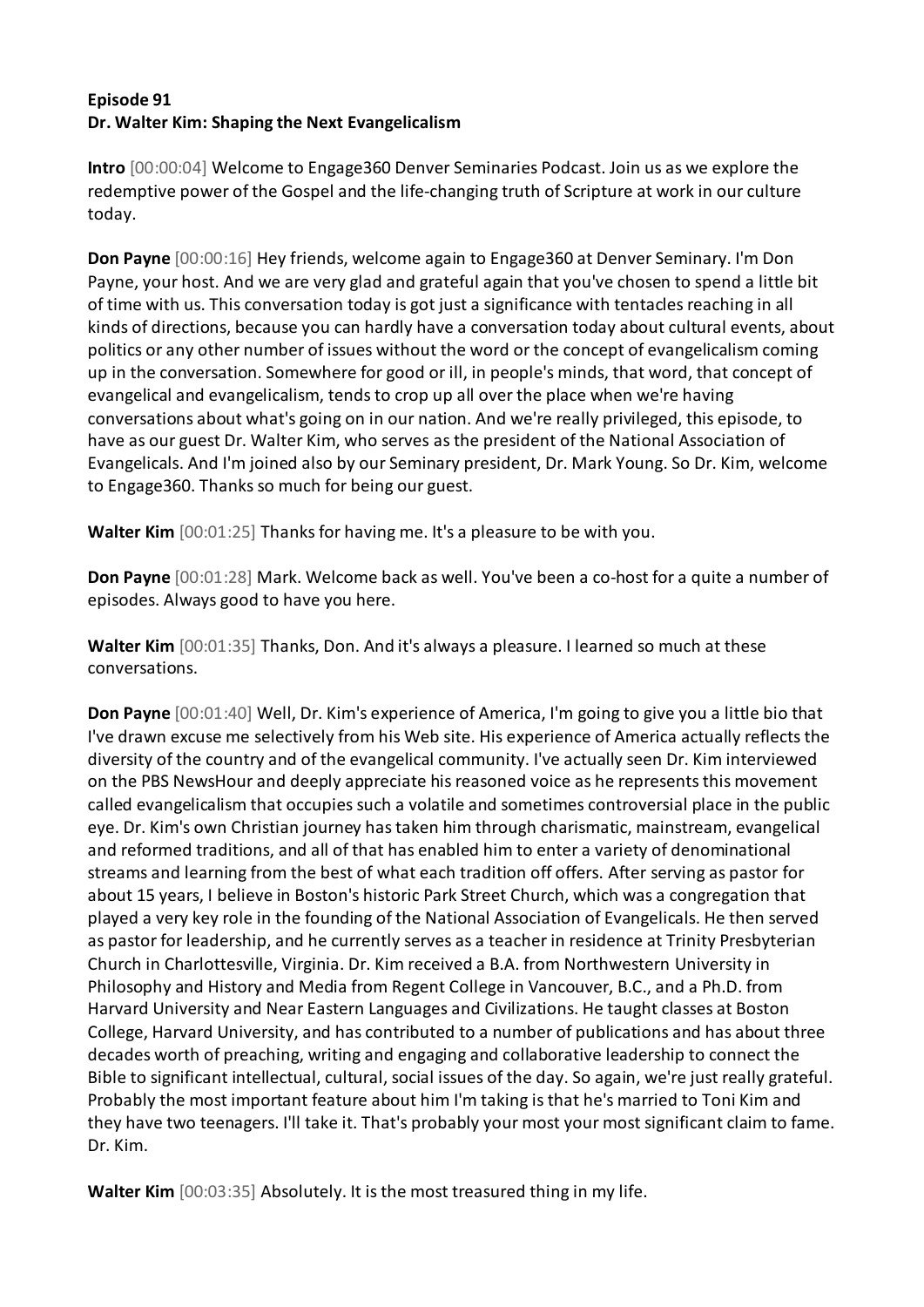## **Episode 91 Dr. Walter Kim: Shaping the Next Evangelicalism**

**Intro** [00:00:04] Welcome to Engage360 Denver Seminaries Podcast. Join us as we explore the redemptive power of the Gospel and the life-changing truth of Scripture at work in our culture today.

**Don Payne** [00:00:16] Hey friends, welcome again to Engage360 at Denver Seminary. I'm Don Payne, your host. And we are very glad and grateful again that you've chosen to spend a little bit of time with us. This conversation today is got just a significance with tentacles reaching in all kinds of directions, because you can hardly have a conversation today about cultural events, about politics or any other number of issues without the word or the concept of evangelicalism coming up in the conversation. Somewhere for good or ill, in people's minds, that word, that concept of evangelical and evangelicalism, tends to crop up all over the place when we're having conversations about what's going on in our nation. And we're really privileged, this episode, to have as our guest Dr. Walter Kim, who serves as the president of the National Association of Evangelicals. And I'm joined also by our Seminary president, Dr. Mark Young. So Dr. Kim, welcome to Engage360. Thanks so much for being our guest.

**Walter Kim** [00:01:25] Thanks for having me. It's a pleasure to be with you.

**Don Payne** [00:01:28] Mark. Welcome back as well. You've been a co-host for a quite a number of episodes. Always good to have you here.

**Walter Kim** [00:01:35] Thanks, Don. And it's always a pleasure. I learned so much at these conversations.

**Don Payne** [00:01:40] Well, Dr. Kim's experience of America, I'm going to give you a little bio that I've drawn excuse me selectively from his Web site. His experience of America actually reflects the diversity of the country and of the evangelical community. I've actually seen Dr. Kim interviewed on the PBS NewsHour and deeply appreciate his reasoned voice as he represents this movement called evangelicalism that occupies such a volatile and sometimes controversial place in the public eye. Dr. Kim's own Christian journey has taken him through charismatic, mainstream, evangelical and reformed traditions, and all of that has enabled him to enter a variety of denominational streams and learning from the best of what each tradition off offers. After serving as pastor for about 15 years, I believe in Boston's historic Park Street Church, which was a congregation that played a very key role in the founding of the National Association of Evangelicals. He then served as pastor for leadership, and he currently serves as a teacher in residence at Trinity Presbyterian Church in Charlottesville, Virginia. Dr. Kim received a B.A. from Northwestern University in Philosophy and History and Media from Regent College in Vancouver, B.C., and a Ph.D. from Harvard University and Near Eastern Languages and Civilizations. He taught classes at Boston College, Harvard University, and has contributed to a number of publications and has about three decades worth of preaching, writing and engaging and collaborative leadership to connect the Bible to significant intellectual, cultural, social issues of the day. So again, we're just really grateful. Probably the most important feature about him I'm taking is that he's married to Toni Kim and they have two teenagers. I'll take it. That's probably your most your most significant claim to fame. Dr. Kim.

**Walter Kim** [00:03:35] Absolutely. It is the most treasured thing in my life.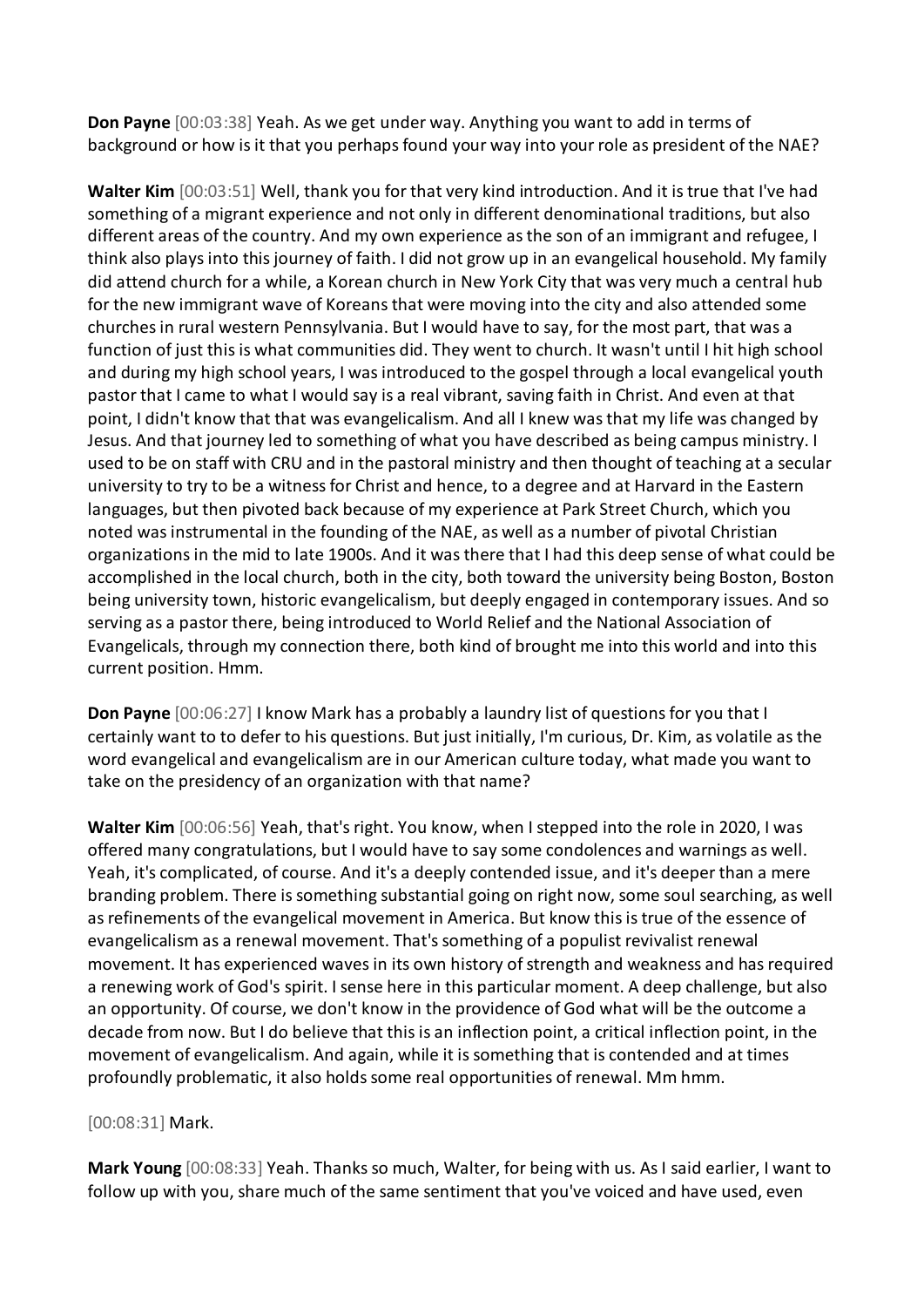**Don Payne** [00:03:38] Yeah. As we get under way. Anything you want to add in terms of background or how is it that you perhaps found your way into your role as president of the NAE?

**Walter Kim** [00:03:51] Well, thank you for that very kind introduction. And it is true that I've had something of a migrant experience and not only in different denominational traditions, but also different areas of the country. And my own experience as the son of an immigrant and refugee, I think also plays into this journey of faith. I did not grow up in an evangelical household. My family did attend church for a while, a Korean church in New York City that was very much a central hub for the new immigrant wave of Koreans that were moving into the city and also attended some churches in rural western Pennsylvania. But I would have to say, for the most part, that was a function of just this is what communities did. They went to church. It wasn't until I hit high school and during my high school years, I was introduced to the gospel through a local evangelical youth pastor that I came to what I would say is a real vibrant, saving faith in Christ. And even at that point, I didn't know that that was evangelicalism. And all I knew was that my life was changed by Jesus. And that journey led to something of what you have described as being campus ministry. I used to be on staff with CRU and in the pastoral ministry and then thought of teaching at a secular university to try to be a witness for Christ and hence, to a degree and at Harvard in the Eastern languages, but then pivoted back because of my experience at Park Street Church, which you noted was instrumental in the founding of the NAE, as well as a number of pivotal Christian organizations in the mid to late 1900s. And it was there that I had this deep sense of what could be accomplished in the local church, both in the city, both toward the university being Boston, Boston being university town, historic evangelicalism, but deeply engaged in contemporary issues. And so serving as a pastor there, being introduced to World Relief and the National Association of Evangelicals, through my connection there, both kind of brought me into this world and into this current position. Hmm.

**Don Payne** [00:06:27] I know Mark has a probably a laundry list of questions for you that I certainly want to to defer to his questions. But just initially, I'm curious, Dr. Kim, as volatile as the word evangelical and evangelicalism are in our American culture today, what made you want to take on the presidency of an organization with that name?

**Walter Kim** [00:06:56] Yeah, that's right. You know, when I stepped into the role in 2020, I was offered many congratulations, but I would have to say some condolences and warnings as well. Yeah, it's complicated, of course. And it's a deeply contended issue, and it's deeper than a mere branding problem. There is something substantial going on right now, some soul searching, as well as refinements of the evangelical movement in America. But know this is true of the essence of evangelicalism as a renewal movement. That's something of a populist revivalist renewal movement. It has experienced waves in its own history of strength and weakness and has required a renewing work of God's spirit. I sense here in this particular moment. A deep challenge, but also an opportunity. Of course, we don't know in the providence of God what will be the outcome a decade from now. But I do believe that this is an inflection point, a critical inflection point, in the movement of evangelicalism. And again, while it is something that is contended and at times profoundly problematic, it also holds some real opportunities of renewal. Mm hmm.

## [00:08:31] Mark.

**Mark Young** [00:08:33] Yeah. Thanks so much, Walter, for being with us. As I said earlier, I want to follow up with you, share much of the same sentiment that you've voiced and have used, even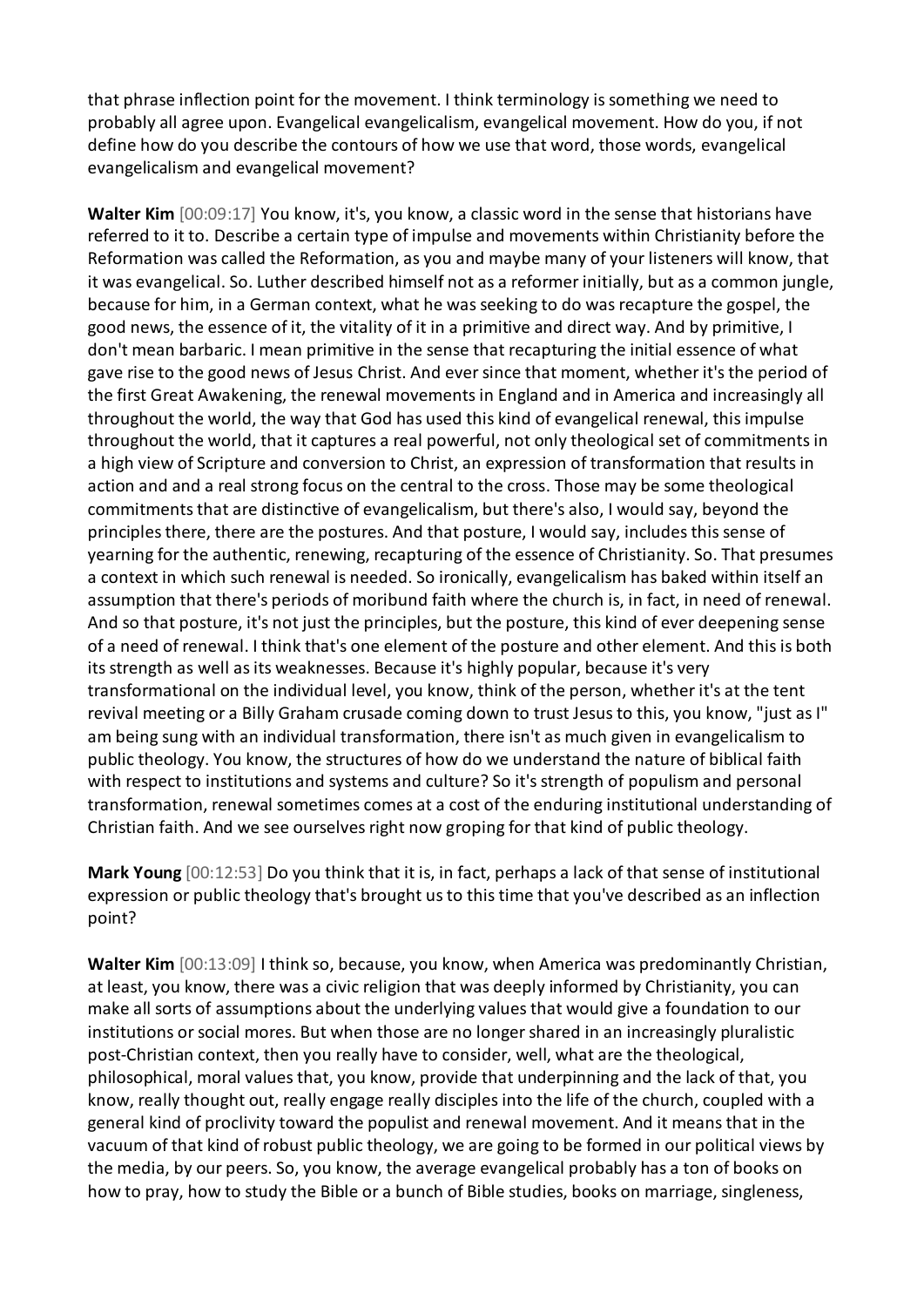that phrase inflection point for the movement. I think terminology is something we need to probably all agree upon. Evangelical evangelicalism, evangelical movement. How do you, if not define how do you describe the contours of how we use that word, those words, evangelical evangelicalism and evangelical movement?

**Walter Kim** [00:09:17] You know, it's, you know, a classic word in the sense that historians have referred to it to. Describe a certain type of impulse and movements within Christianity before the Reformation was called the Reformation, as you and maybe many of your listeners will know, that it was evangelical. So. Luther described himself not as a reformer initially, but as a common jungle, because for him, in a German context, what he was seeking to do was recapture the gospel, the good news, the essence of it, the vitality of it in a primitive and direct way. And by primitive, I don't mean barbaric. I mean primitive in the sense that recapturing the initial essence of what gave rise to the good news of Jesus Christ. And ever since that moment, whether it's the period of the first Great Awakening, the renewal movements in England and in America and increasingly all throughout the world, the way that God has used this kind of evangelical renewal, this impulse throughout the world, that it captures a real powerful, not only theological set of commitments in a high view of Scripture and conversion to Christ, an expression of transformation that results in action and and a real strong focus on the central to the cross. Those may be some theological commitments that are distinctive of evangelicalism, but there's also, I would say, beyond the principles there, there are the postures. And that posture, I would say, includes this sense of yearning for the authentic, renewing, recapturing of the essence of Christianity. So. That presumes a context in which such renewal is needed. So ironically, evangelicalism has baked within itself an assumption that there's periods of moribund faith where the church is, in fact, in need of renewal. And so that posture, it's not just the principles, but the posture, this kind of ever deepening sense of a need of renewal. I think that's one element of the posture and other element. And this is both its strength as well as its weaknesses. Because it's highly popular, because it's very transformational on the individual level, you know, think of the person, whether it's at the tent revival meeting or a Billy Graham crusade coming down to trust Jesus to this, you know, "just as I" am being sung with an individual transformation, there isn't as much given in evangelicalism to public theology. You know, the structures of how do we understand the nature of biblical faith with respect to institutions and systems and culture? So it's strength of populism and personal transformation, renewal sometimes comes at a cost of the enduring institutional understanding of Christian faith. And we see ourselves right now groping for that kind of public theology.

**Mark Young** [00:12:53] Do you think that it is, in fact, perhaps a lack of that sense of institutional expression or public theology that's brought us to this time that you've described as an inflection point?

**Walter Kim** [00:13:09] I think so, because, you know, when America was predominantly Christian, at least, you know, there was a civic religion that was deeply informed by Christianity, you can make all sorts of assumptions about the underlying values that would give a foundation to our institutions or social mores. But when those are no longer shared in an increasingly pluralistic post-Christian context, then you really have to consider, well, what are the theological, philosophical, moral values that, you know, provide that underpinning and the lack of that, you know, really thought out, really engage really disciples into the life of the church, coupled with a general kind of proclivity toward the populist and renewal movement. And it means that in the vacuum of that kind of robust public theology, we are going to be formed in our political views by the media, by our peers. So, you know, the average evangelical probably has a ton of books on how to pray, how to study the Bible or a bunch of Bible studies, books on marriage, singleness,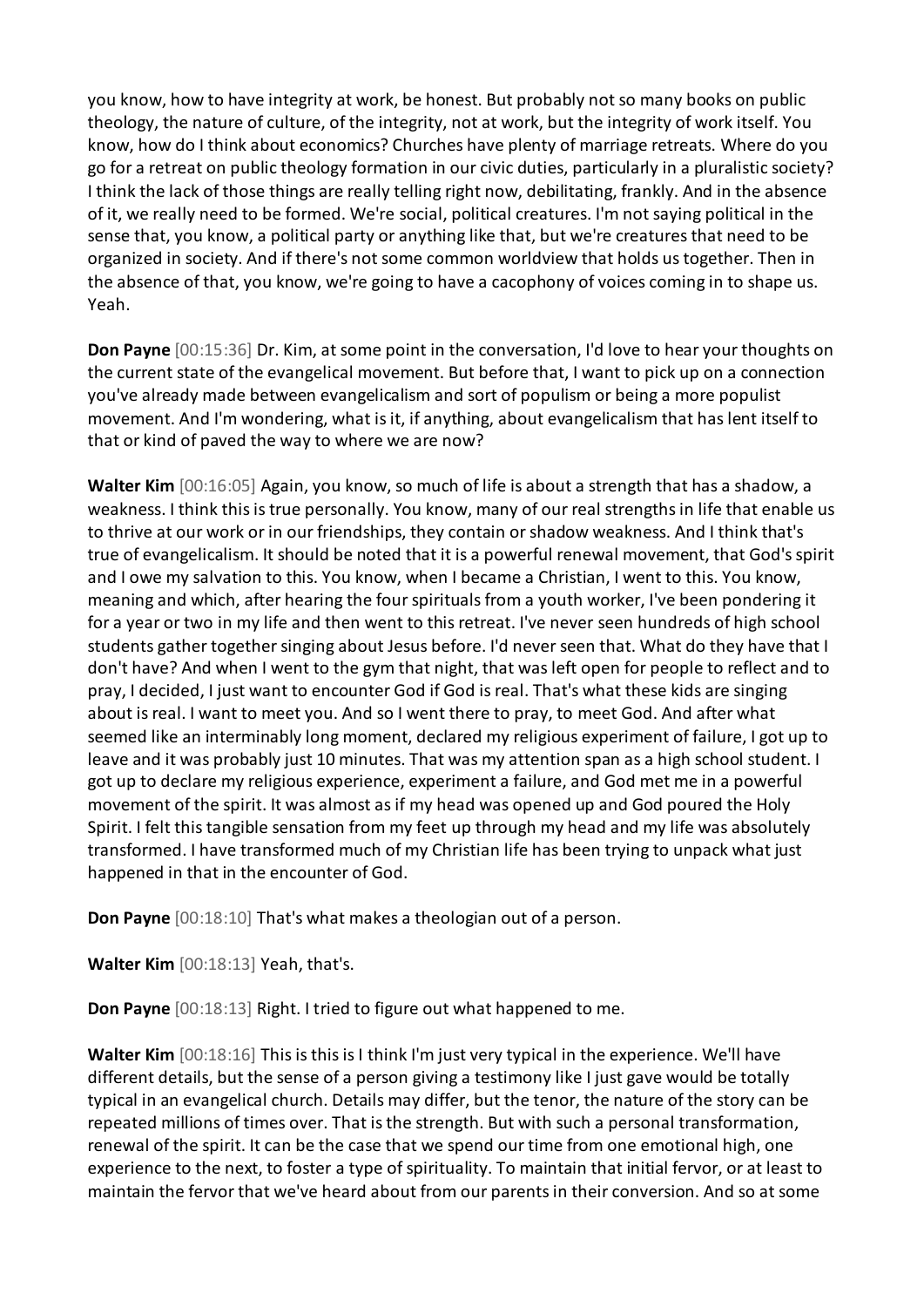you know, how to have integrity at work, be honest. But probably not so many books on public theology, the nature of culture, of the integrity, not at work, but the integrity of work itself. You know, how do I think about economics? Churches have plenty of marriage retreats. Where do you go for a retreat on public theology formation in our civic duties, particularly in a pluralistic society? I think the lack of those things are really telling right now, debilitating, frankly. And in the absence of it, we really need to be formed. We're social, political creatures. I'm not saying political in the sense that, you know, a political party or anything like that, but we're creatures that need to be organized in society. And if there's not some common worldview that holds us together. Then in the absence of that, you know, we're going to have a cacophony of voices coming in to shape us. Yeah.

**Don Payne** [00:15:36] Dr. Kim, at some point in the conversation, I'd love to hear your thoughts on the current state of the evangelical movement. But before that, I want to pick up on a connection you've already made between evangelicalism and sort of populism or being a more populist movement. And I'm wondering, what is it, if anything, about evangelicalism that has lent itself to that or kind of paved the way to where we are now?

**Walter Kim** [00:16:05] Again, you know, so much of life is about a strength that has a shadow, a weakness. I think this is true personally. You know, many of our real strengths in life that enable us to thrive at our work or in our friendships, they contain or shadow weakness. And I think that's true of evangelicalism. It should be noted that it is a powerful renewal movement, that God's spirit and I owe my salvation to this. You know, when I became a Christian, I went to this. You know, meaning and which, after hearing the four spirituals from a youth worker, I've been pondering it for a year or two in my life and then went to this retreat. I've never seen hundreds of high school students gather together singing about Jesus before. I'd never seen that. What do they have that I don't have? And when I went to the gym that night, that was left open for people to reflect and to pray, I decided, I just want to encounter God if God is real. That's what these kids are singing about is real. I want to meet you. And so I went there to pray, to meet God. And after what seemed like an interminably long moment, declared my religious experiment of failure, I got up to leave and it was probably just 10 minutes. That was my attention span as a high school student. I got up to declare my religious experience, experiment a failure, and God met me in a powerful movement of the spirit. It was almost as if my head was opened up and God poured the Holy Spirit. I felt this tangible sensation from my feet up through my head and my life was absolutely transformed. I have transformed much of my Christian life has been trying to unpack what just happened in that in the encounter of God.

**Don Payne** [00:18:10] That's what makes a theologian out of a person.

**Walter Kim** [00:18:13] Yeah, that's.

**Don Payne** [00:18:13] Right. I tried to figure out what happened to me.

**Walter Kim** [00:18:16] This is this is I think I'm just very typical in the experience. We'll have different details, but the sense of a person giving a testimony like I just gave would be totally typical in an evangelical church. Details may differ, but the tenor, the nature of the story can be repeated millions of times over. That is the strength. But with such a personal transformation, renewal of the spirit. It can be the case that we spend our time from one emotional high, one experience to the next, to foster a type of spirituality. To maintain that initial fervor, or at least to maintain the fervor that we've heard about from our parents in their conversion. And so at some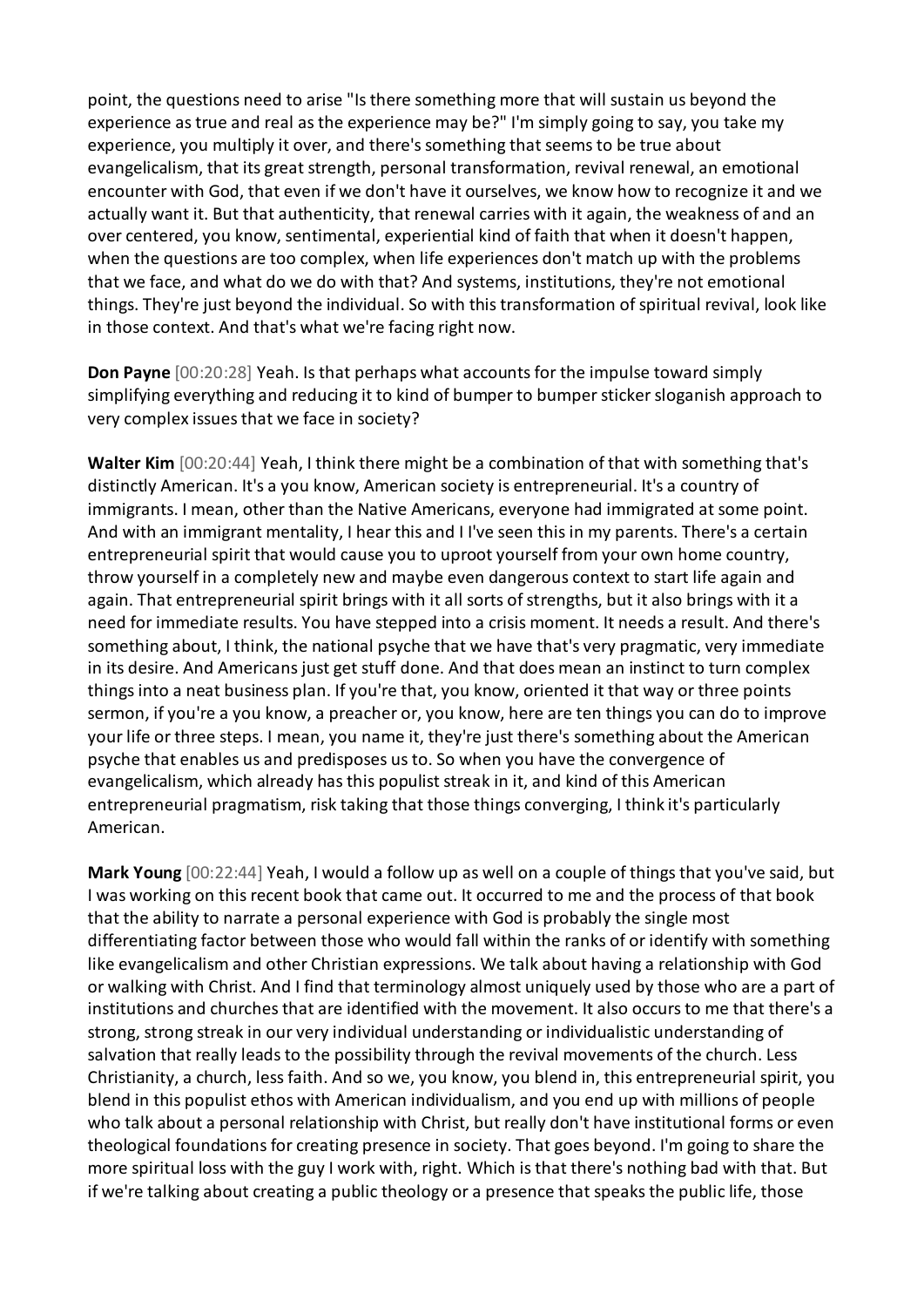point, the questions need to arise "Is there something more that will sustain us beyond the experience as true and real as the experience may be?" I'm simply going to say, you take my experience, you multiply it over, and there's something that seems to be true about evangelicalism, that its great strength, personal transformation, revival renewal, an emotional encounter with God, that even if we don't have it ourselves, we know how to recognize it and we actually want it. But that authenticity, that renewal carries with it again, the weakness of and an over centered, you know, sentimental, experiential kind of faith that when it doesn't happen, when the questions are too complex, when life experiences don't match up with the problems that we face, and what do we do with that? And systems, institutions, they're not emotional things. They're just beyond the individual. So with this transformation of spiritual revival, look like in those context. And that's what we're facing right now.

**Don Payne** [00:20:28] Yeah. Is that perhaps what accounts for the impulse toward simply simplifying everything and reducing it to kind of bumper to bumper sticker sloganish approach to very complex issues that we face in society?

**Walter Kim** [00:20:44] Yeah, I think there might be a combination of that with something that's distinctly American. It's a you know, American society is entrepreneurial. It's a country of immigrants. I mean, other than the Native Americans, everyone had immigrated at some point. And with an immigrant mentality, I hear this and I I've seen this in my parents. There's a certain entrepreneurial spirit that would cause you to uproot yourself from your own home country, throw yourself in a completely new and maybe even dangerous context to start life again and again. That entrepreneurial spirit brings with it all sorts of strengths, but it also brings with it a need for immediate results. You have stepped into a crisis moment. It needs a result. And there's something about, I think, the national psyche that we have that's very pragmatic, very immediate in its desire. And Americans just get stuff done. And that does mean an instinct to turn complex things into a neat business plan. If you're that, you know, oriented it that way or three points sermon, if you're a you know, a preacher or, you know, here are ten things you can do to improve your life or three steps. I mean, you name it, they're just there's something about the American psyche that enables us and predisposes us to. So when you have the convergence of evangelicalism, which already has this populist streak in it, and kind of this American entrepreneurial pragmatism, risk taking that those things converging, I think it's particularly American.

**Mark Young** [00:22:44] Yeah, I would a follow up as well on a couple of things that you've said, but I was working on this recent book that came out. It occurred to me and the process of that book that the ability to narrate a personal experience with God is probably the single most differentiating factor between those who would fall within the ranks of or identify with something like evangelicalism and other Christian expressions. We talk about having a relationship with God or walking with Christ. And I find that terminology almost uniquely used by those who are a part of institutions and churches that are identified with the movement. It also occurs to me that there's a strong, strong streak in our very individual understanding or individualistic understanding of salvation that really leads to the possibility through the revival movements of the church. Less Christianity, a church, less faith. And so we, you know, you blend in, this entrepreneurial spirit, you blend in this populist ethos with American individualism, and you end up with millions of people who talk about a personal relationship with Christ, but really don't have institutional forms or even theological foundations for creating presence in society. That goes beyond. I'm going to share the more spiritual loss with the guy I work with, right. Which is that there's nothing bad with that. But if we're talking about creating a public theology or a presence that speaks the public life, those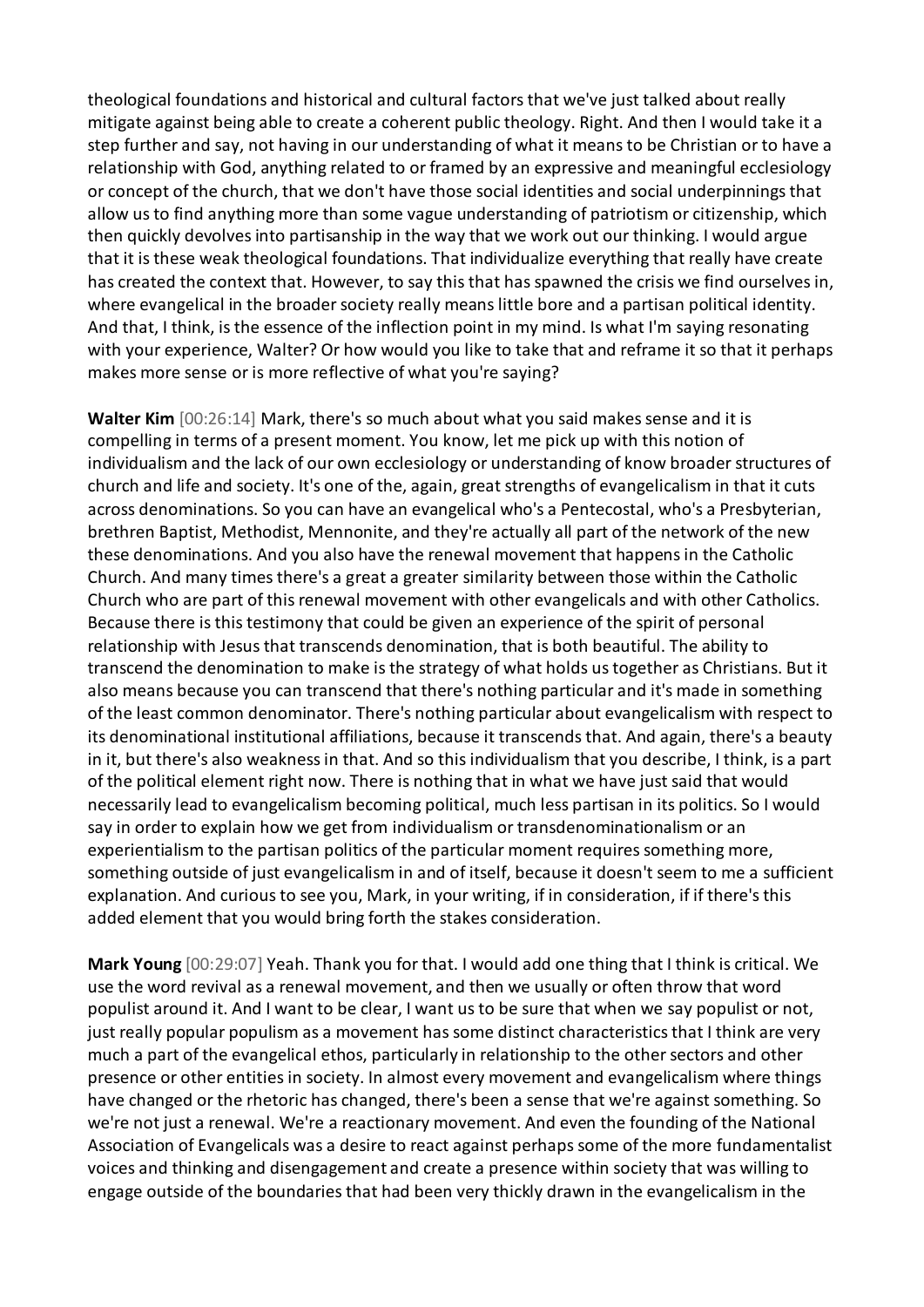theological foundations and historical and cultural factors that we've just talked about really mitigate against being able to create a coherent public theology. Right. And then I would take it a step further and say, not having in our understanding of what it means to be Christian or to have a relationship with God, anything related to or framed by an expressive and meaningful ecclesiology or concept of the church, that we don't have those social identities and social underpinnings that allow us to find anything more than some vague understanding of patriotism or citizenship, which then quickly devolves into partisanship in the way that we work out our thinking. I would argue that it is these weak theological foundations. That individualize everything that really have create has created the context that. However, to say this that has spawned the crisis we find ourselves in, where evangelical in the broader society really means little bore and a partisan political identity. And that, I think, is the essence of the inflection point in my mind. Is what I'm saying resonating with your experience, Walter? Or how would you like to take that and reframe it so that it perhaps makes more sense or is more reflective of what you're saying?

**Walter Kim** [00:26:14] Mark, there's so much about what you said makes sense and it is compelling in terms of a present moment. You know, let me pick up with this notion of individualism and the lack of our own ecclesiology or understanding of know broader structures of church and life and society. It's one of the, again, great strengths of evangelicalism in that it cuts across denominations. So you can have an evangelical who's a Pentecostal, who's a Presbyterian, brethren Baptist, Methodist, Mennonite, and they're actually all part of the network of the new these denominations. And you also have the renewal movement that happens in the Catholic Church. And many times there's a great a greater similarity between those within the Catholic Church who are part of this renewal movement with other evangelicals and with other Catholics. Because there is this testimony that could be given an experience of the spirit of personal relationship with Jesus that transcends denomination, that is both beautiful. The ability to transcend the denomination to make is the strategy of what holds us together as Christians. But it also means because you can transcend that there's nothing particular and it's made in something of the least common denominator. There's nothing particular about evangelicalism with respect to its denominational institutional affiliations, because it transcends that. And again, there's a beauty in it, but there's also weakness in that. And so this individualism that you describe, I think, is a part of the political element right now. There is nothing that in what we have just said that would necessarily lead to evangelicalism becoming political, much less partisan in its politics. So I would say in order to explain how we get from individualism or transdenominationalism or an experientialism to the partisan politics of the particular moment requires something more, something outside of just evangelicalism in and of itself, because it doesn't seem to me a sufficient explanation. And curious to see you, Mark, in your writing, if in consideration, if if there's this added element that you would bring forth the stakes consideration.

**Mark Young** [00:29:07] Yeah. Thank you for that. I would add one thing that I think is critical. We use the word revival as a renewal movement, and then we usually or often throw that word populist around it. And I want to be clear, I want us to be sure that when we say populist or not, just really popular populism as a movement has some distinct characteristics that I think are very much a part of the evangelical ethos, particularly in relationship to the other sectors and other presence or other entities in society. In almost every movement and evangelicalism where things have changed or the rhetoric has changed, there's been a sense that we're against something. So we're not just a renewal. We're a reactionary movement. And even the founding of the National Association of Evangelicals was a desire to react against perhaps some of the more fundamentalist voices and thinking and disengagement and create a presence within society that was willing to engage outside of the boundaries that had been very thickly drawn in the evangelicalism in the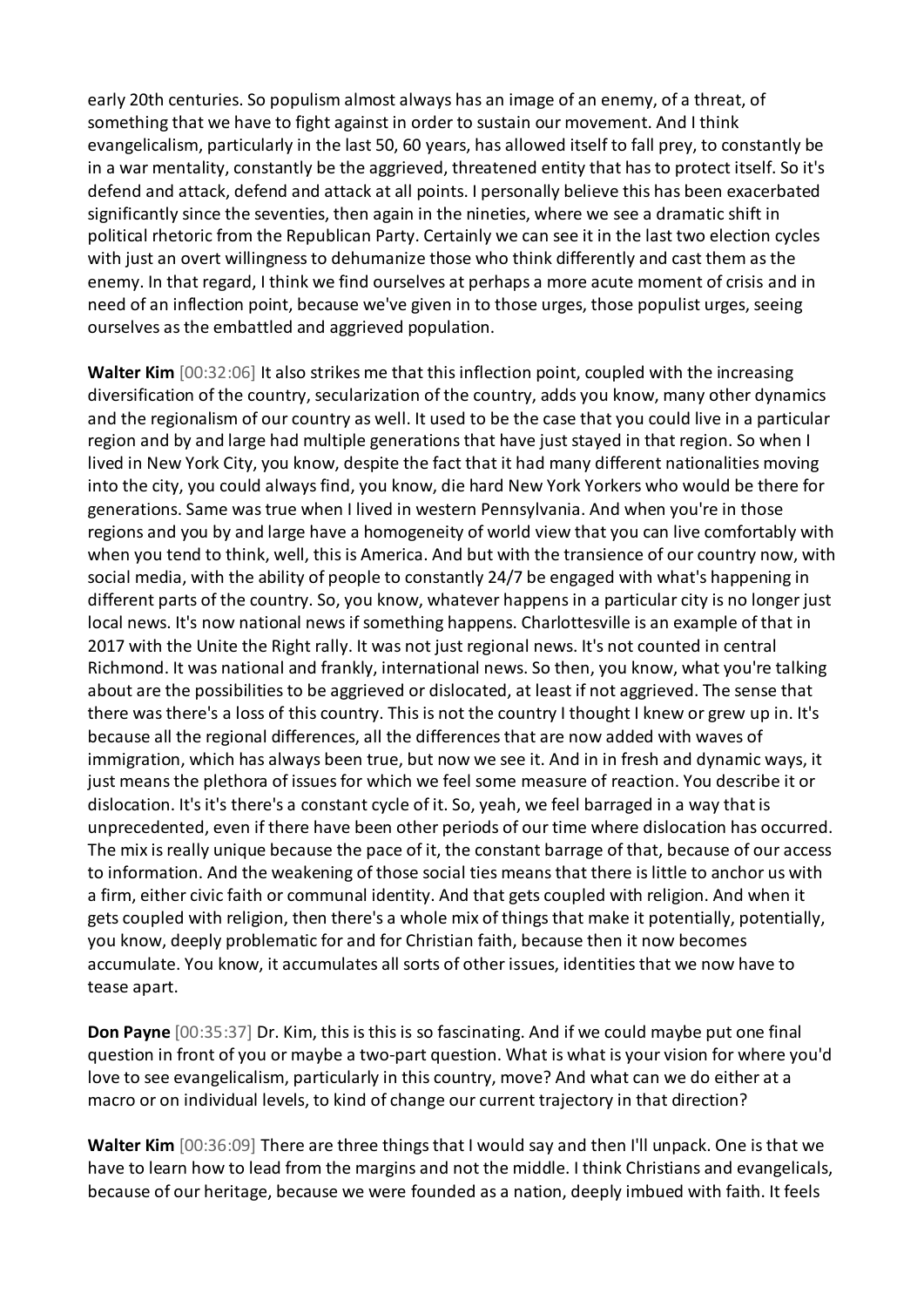early 20th centuries. So populism almost always has an image of an enemy, of a threat, of something that we have to fight against in order to sustain our movement. And I think evangelicalism, particularly in the last 50, 60 years, has allowed itself to fall prey, to constantly be in a war mentality, constantly be the aggrieved, threatened entity that has to protect itself. So it's defend and attack, defend and attack at all points. I personally believe this has been exacerbated significantly since the seventies, then again in the nineties, where we see a dramatic shift in political rhetoric from the Republican Party. Certainly we can see it in the last two election cycles with just an overt willingness to dehumanize those who think differently and cast them as the enemy. In that regard, I think we find ourselves at perhaps a more acute moment of crisis and in need of an inflection point, because we've given in to those urges, those populist urges, seeing ourselves as the embattled and aggrieved population.

**Walter Kim** [00:32:06] It also strikes me that this inflection point, coupled with the increasing diversification of the country, secularization of the country, adds you know, many other dynamics and the regionalism of our country as well. It used to be the case that you could live in a particular region and by and large had multiple generations that have just stayed in that region. So when I lived in New York City, you know, despite the fact that it had many different nationalities moving into the city, you could always find, you know, die hard New York Yorkers who would be there for generations. Same was true when I lived in western Pennsylvania. And when you're in those regions and you by and large have a homogeneity of world view that you can live comfortably with when you tend to think, well, this is America. And but with the transience of our country now, with social media, with the ability of people to constantly 24/7 be engaged with what's happening in different parts of the country. So, you know, whatever happens in a particular city is no longer just local news. It's now national news if something happens. Charlottesville is an example of that in 2017 with the Unite the Right rally. It was not just regional news. It's not counted in central Richmond. It was national and frankly, international news. So then, you know, what you're talking about are the possibilities to be aggrieved or dislocated, at least if not aggrieved. The sense that there was there's a loss of this country. This is not the country I thought I knew or grew up in. It's because all the regional differences, all the differences that are now added with waves of immigration, which has always been true, but now we see it. And in in fresh and dynamic ways, it just means the plethora of issues for which we feel some measure of reaction. You describe it or dislocation. It's it's there's a constant cycle of it. So, yeah, we feel barraged in a way that is unprecedented, even if there have been other periods of our time where dislocation has occurred. The mix is really unique because the pace of it, the constant barrage of that, because of our access to information. And the weakening of those social ties means that there is little to anchor us with a firm, either civic faith or communal identity. And that gets coupled with religion. And when it gets coupled with religion, then there's a whole mix of things that make it potentially, potentially, you know, deeply problematic for and for Christian faith, because then it now becomes accumulate. You know, it accumulates all sorts of other issues, identities that we now have to tease apart.

**Don Payne** [00:35:37] Dr. Kim, this is this is so fascinating. And if we could maybe put one final question in front of you or maybe a two-part question. What is what is your vision for where you'd love to see evangelicalism, particularly in this country, move? And what can we do either at a macro or on individual levels, to kind of change our current trajectory in that direction?

**Walter Kim** [00:36:09] There are three things that I would say and then I'll unpack. One is that we have to learn how to lead from the margins and not the middle. I think Christians and evangelicals, because of our heritage, because we were founded as a nation, deeply imbued with faith. It feels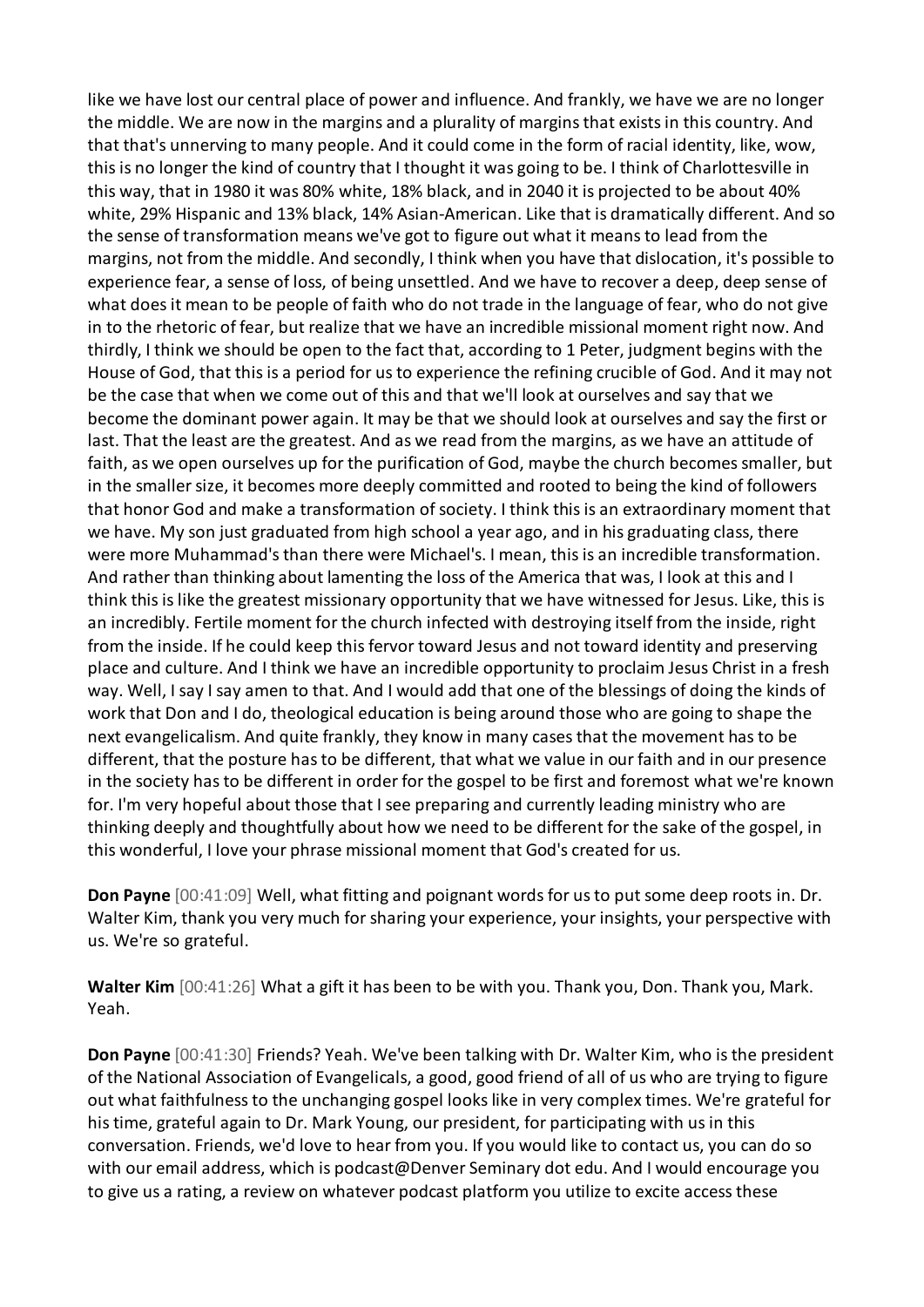like we have lost our central place of power and influence. And frankly, we have we are no longer the middle. We are now in the margins and a plurality of margins that exists in this country. And that that's unnerving to many people. And it could come in the form of racial identity, like, wow, this is no longer the kind of country that I thought it was going to be. I think of Charlottesville in this way, that in 1980 it was 80% white, 18% black, and in 2040 it is projected to be about 40% white, 29% Hispanic and 13% black, 14% Asian-American. Like that is dramatically different. And so the sense of transformation means we've got to figure out what it means to lead from the margins, not from the middle. And secondly, I think when you have that dislocation, it's possible to experience fear, a sense of loss, of being unsettled. And we have to recover a deep, deep sense of what does it mean to be people of faith who do not trade in the language of fear, who do not give in to the rhetoric of fear, but realize that we have an incredible missional moment right now. And thirdly, I think we should be open to the fact that, according to 1 Peter, judgment begins with the House of God, that this is a period for us to experience the refining crucible of God. And it may not be the case that when we come out of this and that we'll look at ourselves and say that we become the dominant power again. It may be that we should look at ourselves and say the first or last. That the least are the greatest. And as we read from the margins, as we have an attitude of faith, as we open ourselves up for the purification of God, maybe the church becomes smaller, but in the smaller size, it becomes more deeply committed and rooted to being the kind of followers that honor God and make a transformation of society. I think this is an extraordinary moment that we have. My son just graduated from high school a year ago, and in his graduating class, there were more Muhammad's than there were Michael's. I mean, this is an incredible transformation. And rather than thinking about lamenting the loss of the America that was, I look at this and I think this is like the greatest missionary opportunity that we have witnessed for Jesus. Like, this is an incredibly. Fertile moment for the church infected with destroying itself from the inside, right from the inside. If he could keep this fervor toward Jesus and not toward identity and preserving place and culture. And I think we have an incredible opportunity to proclaim Jesus Christ in a fresh way. Well, I say I say amen to that. And I would add that one of the blessings of doing the kinds of work that Don and I do, theological education is being around those who are going to shape the next evangelicalism. And quite frankly, they know in many cases that the movement has to be different, that the posture has to be different, that what we value in our faith and in our presence in the society has to be different in order for the gospel to be first and foremost what we're known for. I'm very hopeful about those that I see preparing and currently leading ministry who are thinking deeply and thoughtfully about how we need to be different for the sake of the gospel, in this wonderful, I love your phrase missional moment that God's created for us.

**Don Payne** [00:41:09] Well, what fitting and poignant words for us to put some deep roots in. Dr. Walter Kim, thank you very much for sharing your experience, your insights, your perspective with us. We're so grateful.

**Walter Kim** [00:41:26] What a gift it has been to be with you. Thank you, Don. Thank you, Mark. Yeah.

**Don Payne** [00:41:30] Friends? Yeah. We've been talking with Dr. Walter Kim, who is the president of the National Association of Evangelicals, a good, good friend of all of us who are trying to figure out what faithfulness to the unchanging gospel looks like in very complex times. We're grateful for his time, grateful again to Dr. Mark Young, our president, for participating with us in this conversation. Friends, we'd love to hear from you. If you would like to contact us, you can do so with our email address, which is podcast@Denver Seminary dot edu. And I would encourage you to give us a rating, a review on whatever podcast platform you utilize to excite access these